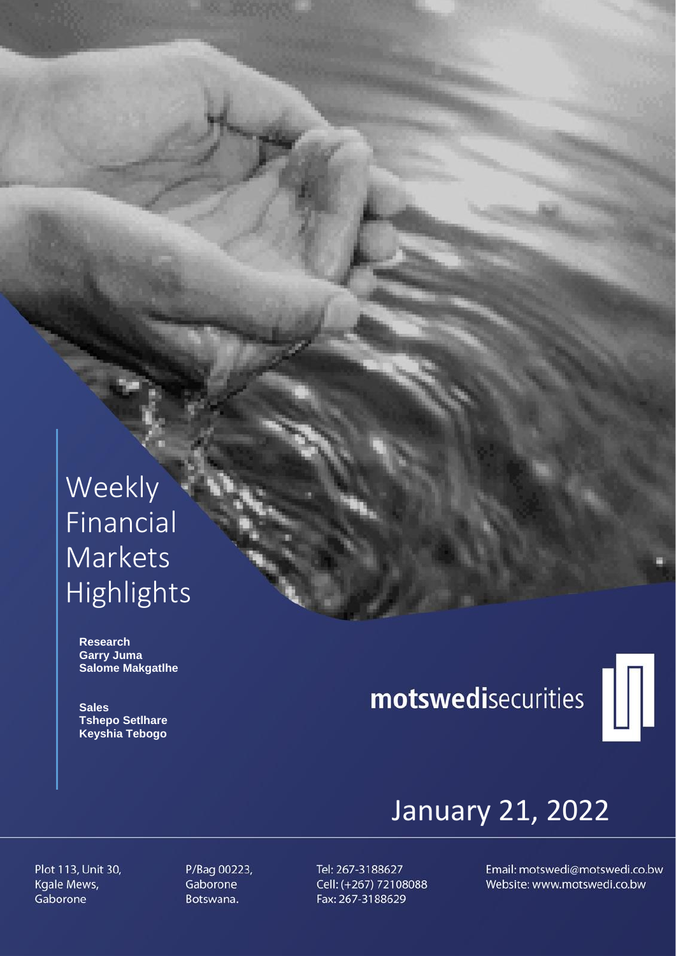## Weekly Financial Markets Highlights

 **Research Garry Juma Salome Makgatlhe**

 **Sales Tshepo Setlhare Keyshia Tebogo**

# motswedisecurities



## January 21, 2022

Plot 113, Unit 30, Kgale Mews, Gaborone

P/Bag 00223, Gaborone Botswana.

Tel: 267-3188627 Cell: (+267) 72108088 Fax: 267-3188629

Email: motswedi@motswedi.co.bw Website: www.motswedi.co.bw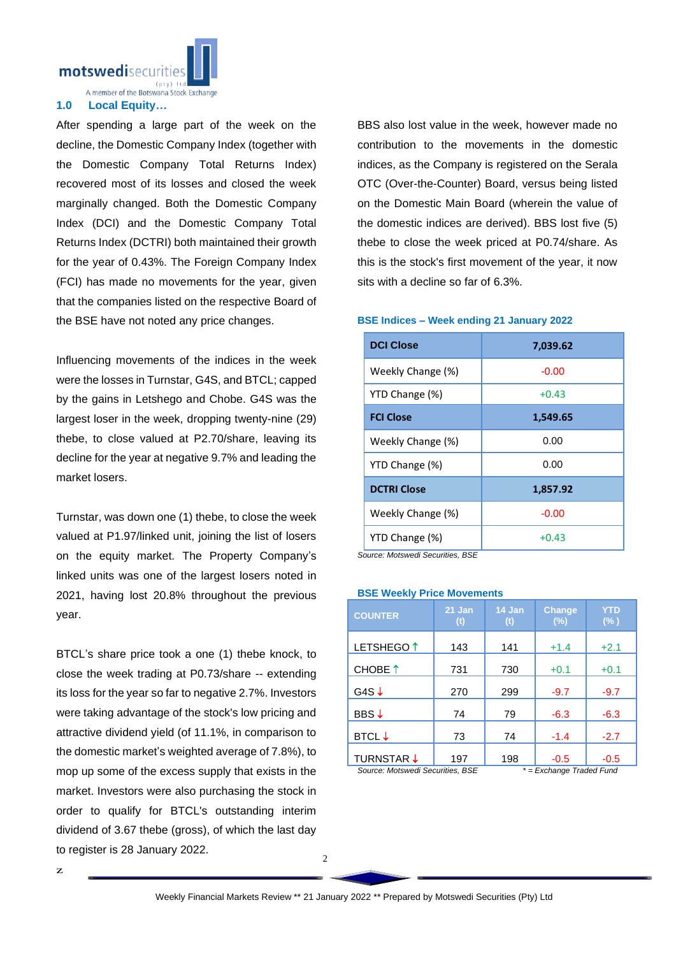

A member of the Botswana Stock Exchange

#### **1.0 Local Equity…**

After spending a large part of the week on the decline, the Domestic Company Index (together with the Domestic Company Total Returns Index) recovered most of its losses and closed the week marginally changed. Both the Domestic Company Index (DCI) and the Domestic Company Total Returns Index (DCTRI) both maintained their growth for the year of 0.43%. The Foreign Company Index (FCI) has made no movements for the year, given that the companies listed on the respective Board of the BSE have not noted any price changes.

Influencing movements of the indices in the week were the losses in Turnstar, G4S, and BTCL; capped by the gains in Letshego and Chobe. G4S was the largest loser in the week, dropping twenty-nine (29) thebe, to close valued at P2.70/share, leaving its decline for the year at negative 9.7% and leading the market losers.

Turnstar, was down one (1) thebe, to close the week valued at P1.97/linked unit, joining the list of losers on the equity market. The Property Company's linked units was one of the largest losers noted in 2021, having lost 20.8% throughout the previous year.

BTCL's share price took a one (1) thebe knock, to close the week trading at P0.73/share -- extending its loss for the year so far to negative 2.7%. Investors were taking advantage of the stock's low pricing and attractive dividend yield (of 11.1%, in comparison to the domestic market's weighted average of 7.8%), to mop up some of the excess supply that exists in the market. Investors were also purchasing the stock in order to qualify for BTCL's outstanding interim dividend of 3.67 thebe (gross), of which the last day to register is 28 January 2022.

BBS also lost value in the week, however made no contribution to the movements in the domestic indices, as the Company is registered on the Serala OTC (Over-the-Counter) Board, versus being listed on the Domestic Main Board (wherein the value of the domestic indices are derived). BBS lost five (5) thebe to close the week priced at P0.74/share. As this is the stock's first movement of the year, it now sits with a decline so far of 6.3%.

#### **BSE Indices – Week ending 21 January 2022**

| <b>DCI Close</b>   | 7,039.62 |  |  |
|--------------------|----------|--|--|
| Weekly Change (%)  | $-0.00$  |  |  |
| YTD Change (%)     | $+0.43$  |  |  |
| <b>FCI Close</b>   | 1,549.65 |  |  |
| Weekly Change (%)  | 0.00     |  |  |
| YTD Change (%)     | 0.00     |  |  |
| <b>DCTRI Close</b> | 1,857.92 |  |  |
| Weekly Change (%)  | $-0.00$  |  |  |
| YTD Change (%)     | $+0.43$  |  |  |

*Source: Motswedi Securities, BSE*

### **BSE Weekly Price Movements**

| <b>COUNTER</b>                   | 21 Jan<br>(t)            | 14 Jan<br>(t) | <b>Change</b><br>(%) | <b>YTD</b><br>$(\% )$ |
|----------------------------------|--------------------------|---------------|----------------------|-----------------------|
| LETSHEGO <sup>1</sup>            | 143                      | 141           | $+1.4$               | $+2.1$                |
| CHOBE 1                          | 731                      | 730           | $+0.1$               | $+0.1$                |
| G4S $\downarrow$                 | 270                      | 299           | $-9.7$               | $-9.7$                |
| BBS↓                             | 74                       | 79            | $-6.3$               | $-6.3$                |
| <b>BTCL</b> ↓                    | 73                       | 74            | $-1.4$               | $-2.7$                |
| TURNSTAR ↓                       | 197                      | 198           | $-0.5$               | $-0.5$                |
| Source: Motswedi Securities. BSE | * = Exchange Traded Fund |               |                      |                       |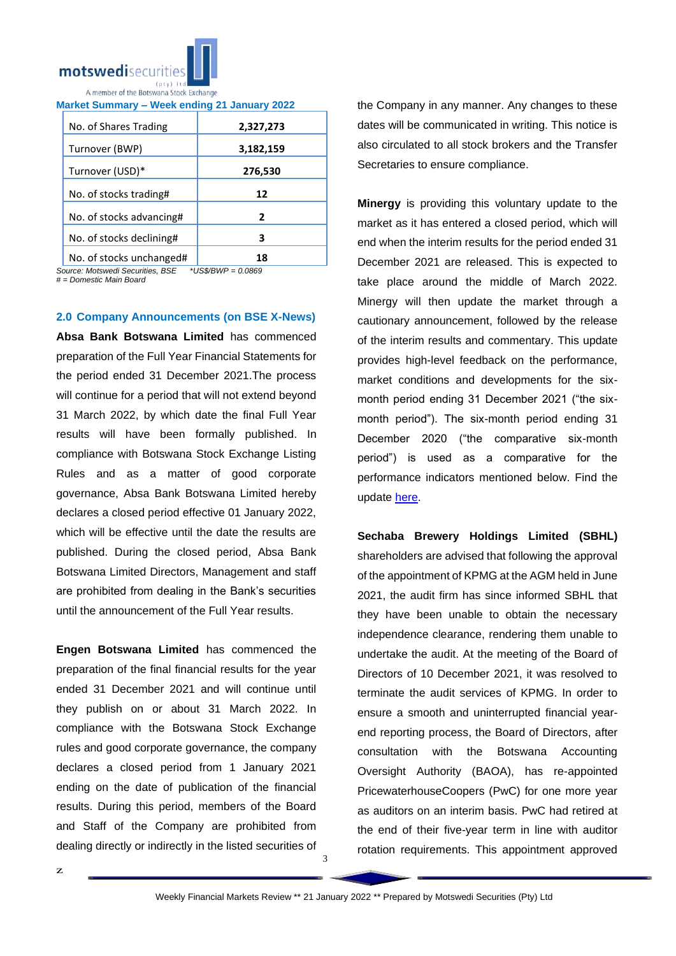

| No. of Shares Trading    | 2,327,273 |
|--------------------------|-----------|
| Turnover (BWP)           | 3,182,159 |
| Turnover (USD)*          | 276,530   |
| No. of stocks trading#   | 12        |
| No. of stocks advancing# | 2         |
| No. of stocks declining# | з         |
| No. of stocks unchanged# | 18        |

**Market Summary – Week ending 21 January 2022**

*Source: Motswedi Securities, BSE \*US\$/BWP = 0.0869*

*# = Domestic Main Board*

#### **2.0 Company Announcements (on BSE X-News)**

**Absa Bank Botswana Limited** has commenced preparation of the Full Year Financial Statements for the period ended 31 December 2021.The process will continue for a period that will not extend beyond 31 March 2022, by which date the final Full Year results will have been formally published. In compliance with Botswana Stock Exchange Listing Rules and as a matter of good corporate governance, Absa Bank Botswana Limited hereby declares a closed period effective 01 January 2022, which will be effective until the date the results are published. During the closed period, Absa Bank Botswana Limited Directors, Management and staff are prohibited from dealing in the Bank's securities until the announcement of the Full Year results.

**Engen Botswana Limited** has commenced the preparation of the final financial results for the year ended 31 December 2021 and will continue until they publish on or about 31 March 2022. In compliance with the Botswana Stock Exchange rules and good corporate governance, the company declares a closed period from 1 January 2021 ending on the date of publication of the financial results. During this period, members of the Board and Staff of the Company are prohibited from dealing directly or indirectly in the listed securities of

the Company in any manner. Any changes to these dates will be communicated in writing. This notice is also circulated to all stock brokers and the Transfer Secretaries to ensure compliance.

**Minergy** is providing this voluntary update to the market as it has entered a closed period, which will end when the interim results for the period ended 31 December 2021 are released. This is expected to take place around the middle of March 2022. Minergy will then update the market through a cautionary announcement, followed by the release of the interim results and commentary. This update provides high-level feedback on the performance, market conditions and developments for the sixmonth period ending 31 December 2021 ("the sixmonth period"). The six-month period ending 31 December 2020 ("the comparative six-month period") is used as a comparative for the performance indicators mentioned below. Find the update [here.](https://apis.bse.co.bw/storage/disclosures/01/2022/2700.pdf)

**Sechaba Brewery Holdings Limited (SBHL)** shareholders are advised that following the approval of the appointment of KPMG at the AGM held in June 2021, the audit firm has since informed SBHL that they have been unable to obtain the necessary independence clearance, rendering them unable to undertake the audit. At the meeting of the Board of Directors of 10 December 2021, it was resolved to terminate the audit services of KPMG. In order to ensure a smooth and uninterrupted financial yearend reporting process, the Board of Directors, after consultation with the Botswana Accounting Oversight Authority (BAOA), has re-appointed PricewaterhouseCoopers (PwC) for one more year as auditors on an interim basis. PwC had retired at the end of their five-year term in line with auditor rotation requirements. This appointment approved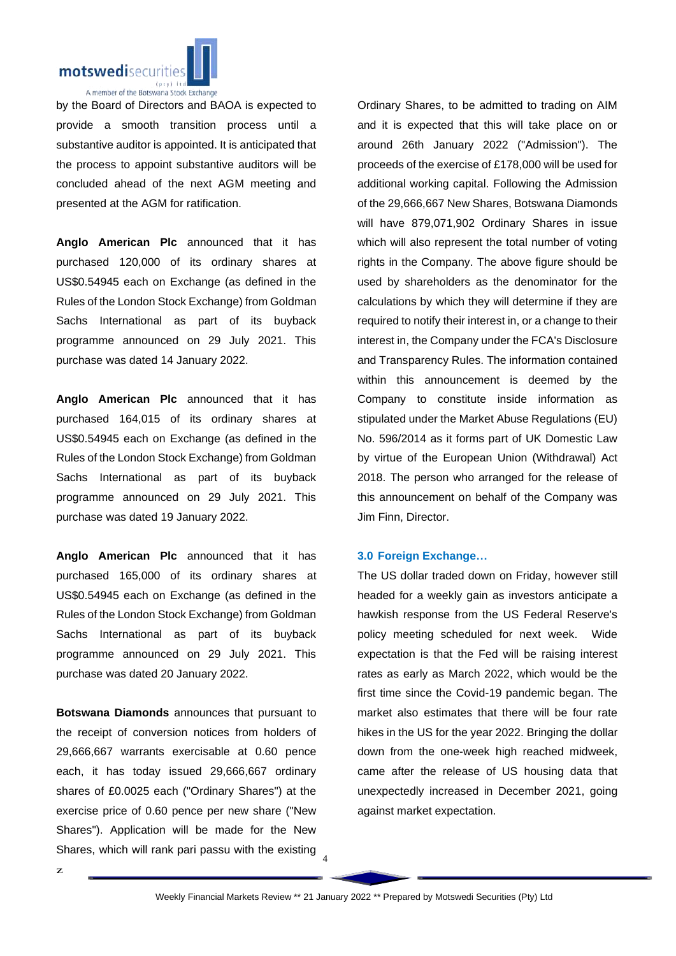

by the Board of Directors and BAOA is expected to provide a smooth transition process until a substantive auditor is appointed. It is anticipated that the process to appoint substantive auditors will be concluded ahead of the next AGM meeting and presented at the AGM for ratification.

**Anglo American Plc** announced that it has purchased 120,000 of its ordinary shares at US\$0.54945 each on Exchange (as defined in the Rules of the London Stock Exchange) from Goldman Sachs International as part of its buyback programme announced on 29 July 2021. This purchase was dated 14 January 2022.

**Anglo American Plc** announced that it has purchased 164,015 of its ordinary shares at US\$0.54945 each on Exchange (as defined in the Rules of the London Stock Exchange) from Goldman Sachs International as part of its buyback programme announced on 29 July 2021. This purchase was dated 19 January 2022.

**Anglo American Plc** announced that it has purchased 165,000 of its ordinary shares at US\$0.54945 each on Exchange (as defined in the Rules of the London Stock Exchange) from Goldman Sachs International as part of its buyback programme announced on 29 July 2021. This purchase was dated 20 January 2022.

Shares, which will rank pari passu with the existing  $\frac{4}{4}$ **Botswana Diamonds** announces that pursuant to the receipt of conversion notices from holders of 29,666,667 warrants exercisable at 0.60 pence each, it has today issued 29,666,667 ordinary shares of £0.0025 each ("Ordinary Shares") at the exercise price of 0.60 pence per new share ("New Shares"). Application will be made for the New

Ordinary Shares, to be admitted to trading on AIM and it is expected that this will take place on or around 26th January 2022 ("Admission"). The proceeds of the exercise of £178,000 will be used for additional working capital. Following the Admission of the 29,666,667 New Shares, Botswana Diamonds will have 879,071,902 Ordinary Shares in issue which will also represent the total number of voting rights in the Company. The above figure should be used by shareholders as the denominator for the calculations by which they will determine if they are required to notify their interest in, or a change to their interest in, the Company under the FCA's Disclosure and Transparency Rules. The information contained within this announcement is deemed by the Company to constitute inside information as stipulated under the Market Abuse Regulations (EU) No. 596/2014 as it forms part of UK Domestic Law by virtue of the European Union (Withdrawal) Act 2018. The person who arranged for the release of this announcement on behalf of the Company was Jim Finn, Director.

#### **3.0 Foreign Exchange…**

The US dollar traded down on Friday, however still headed for a weekly gain as investors anticipate a hawkish response from the US Federal Reserve's policy meeting scheduled for next week. Wide expectation is that the Fed will be raising interest rates as early as March 2022, which would be the first time since the Covid-19 pandemic began. The market also estimates that there will be four rate hikes in the US for the year 2022. Bringing the dollar down from the one-week high reached midweek, came after the release of US housing data that unexpectedly increased in December 2021, going against market expectation.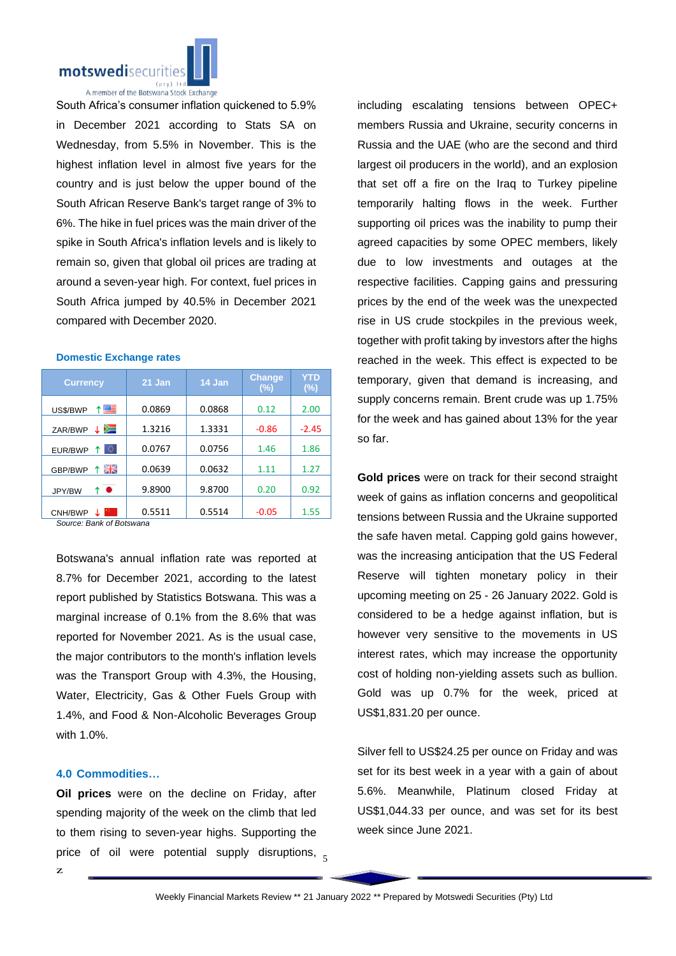

South Africa's consumer inflation quickened to 5.9% in December 2021 according to Stats SA on Wednesday, from 5.5% in November. This is the highest inflation level in almost five years for the country and is just below the upper bound of the South African Reserve Bank's target range of 3% to 6%. The hike in fuel prices was the main driver of the spike in South Africa's inflation levels and is likely to remain so, given that global oil prices are trading at around a seven-year high. For context, fuel prices in South Africa jumped by 40.5% in December 2021 compared with December 2020.

| <b>Currency</b>                    | 21 Jan | 14 Jan | <b>Change</b><br>(%) | YTD<br>$(\%)$ |
|------------------------------------|--------|--------|----------------------|---------------|
| ↑■<br>US\$/BWP                     | 0.0869 | 0.0868 | 0.12                 | 2.00          |
| ≔<br>ZAR/BWP                       | 1.3216 | 1.3331 | $-0.86$              | $-2.45$       |
| Ю.<br>EUR/BWP                      | 0.0767 | 0.0756 | 1.46                 | 1.86          |
| 픪푽<br>GBP/BWP                      | 0.0639 | 0.0632 | 1.11                 | 1.27          |
| ↑●<br>JPY/BW                       | 9.8900 | 9.8700 | 0.20                 | 0.92          |
| CNH/BWP<br>Course Dank of Datowang | 0.5511 | 0.5514 | $-0.05$              | 1.55          |

**Domestic Exchange rates**

*Source: Bank of Botswana*

Botswana's annual inflation rate was reported at 8.7% for December 2021, according to the latest report published by Statistics Botswana. This was a marginal increase of 0.1% from the 8.6% that was reported for November 2021. As is the usual case, the major contributors to the month's inflation levels was the Transport Group with 4.3%, the Housing, Water, Electricity, Gas & Other Fuels Group with 1.4%, and Food & Non-Alcoholic Beverages Group with 1.0%.

#### **4.0 Commodities…**

price of oil were potential supply disruptions,  $_5$ **Oil prices** were on the decline on Friday, after spending majority of the week on the climb that led to them rising to seven-year highs. Supporting the

including escalating tensions between OPEC+ members Russia and Ukraine, security concerns in Russia and the UAE (who are the second and third largest oil producers in the world), and an explosion that set off a fire on the Iraq to Turkey pipeline temporarily halting flows in the week. Further supporting oil prices was the inability to pump their agreed capacities by some OPEC members, likely due to low investments and outages at the respective facilities. Capping gains and pressuring prices by the end of the week was the unexpected rise in US crude stockpiles in the previous week, together with profit taking by investors after the highs reached in the week. This effect is expected to be temporary, given that demand is increasing, and supply concerns remain. Brent crude was up 1.75% for the week and has gained about 13% for the year so far.

**Gold prices** were on track for their second straight week of gains as inflation concerns and geopolitical tensions between Russia and the Ukraine supported the safe haven metal. Capping gold gains however, was the increasing anticipation that the US Federal Reserve will tighten monetary policy in their upcoming meeting on 25 - 26 January 2022. Gold is considered to be a hedge against inflation, but is however very sensitive to the movements in US interest rates, which may increase the opportunity cost of holding non-yielding assets such as bullion. Gold was up 0.7% for the week, priced at US\$1,831.20 per ounce.

Silver fell to US\$24.25 per ounce on Friday and was set for its best week in a year with a gain of about 5.6%. Meanwhile, Platinum closed Friday at US\$1,044.33 per ounce, and was set for its best week since June 2021.